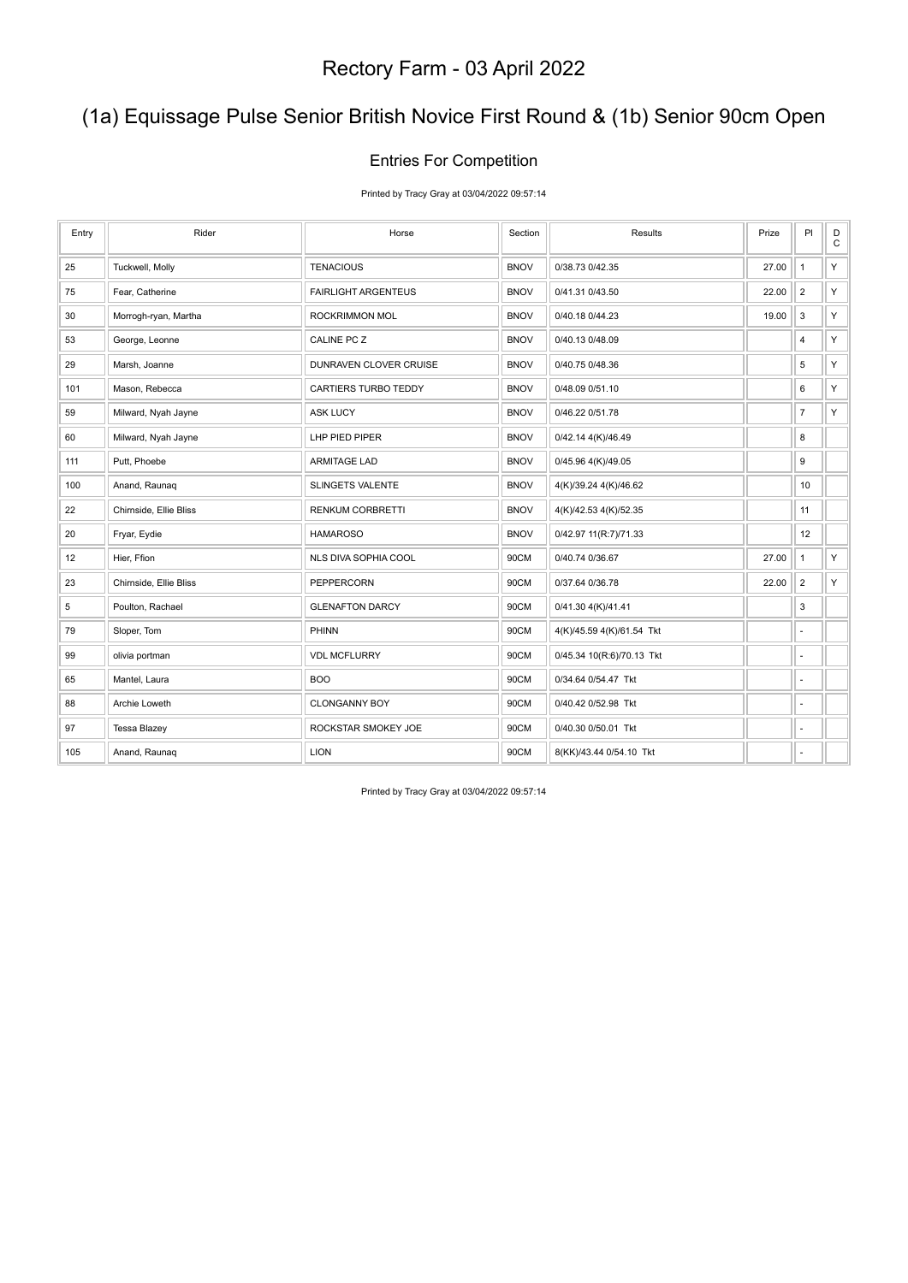## (1a) Equissage Pulse Senior British Novice First Round & (1b) Senior 90cm Open

#### Entries For Competition

Printed by Tracy Gray at 03/04/2022 09:57:14

| Entry | Rider                  | Horse                      | Section     | Results                   | Prize | PI                       | $_{\rm C}^{\rm D}$ |
|-------|------------------------|----------------------------|-------------|---------------------------|-------|--------------------------|--------------------|
| 25    | Tuckwell, Molly        | <b>TENACIOUS</b>           | <b>BNOV</b> | 0/38.73 0/42.35           | 27.00 | $\mathbf{1}$             | Y                  |
| 75    | Fear, Catherine        | <b>FAIRLIGHT ARGENTEUS</b> | <b>BNOV</b> | 0/41.31 0/43.50           | 22.00 | $\overline{2}$           | Y                  |
| 30    | Morrogh-ryan, Martha   | ROCKRIMMON MOL             | <b>BNOV</b> | 0/40.18 0/44.23           | 19.00 | $\mathsf 3$              | Y.                 |
| 53    | George, Leonne         | CALINE PC Z                | <b>BNOV</b> | 0/40.13 0/48.09           |       | 4                        | Y.                 |
| 29    | Marsh, Joanne          | DUNRAVEN CLOVER CRUISE     | <b>BNOV</b> | 0/40.75 0/48.36           |       | 5                        | Y                  |
| 101   | Mason, Rebecca         | CARTIERS TURBO TEDDY       | <b>BNOV</b> | 0/48.09 0/51.10           |       | 6                        | Y.                 |
| 59    | Milward, Nyah Jayne    | <b>ASK LUCY</b>            | <b>BNOV</b> | 0/46.22 0/51.78           |       | $\overline{7}$           | Y.                 |
| 60    | Milward, Nyah Jayne    | LHP PIED PIPER             | <b>BNOV</b> | 0/42.14 4(K)/46.49        |       | 8                        |                    |
| 111   | Putt, Phoebe           | <b>ARMITAGE LAD</b>        | <b>BNOV</b> | 0/45.96 4(K)/49.05        |       | 9                        |                    |
| 100   | Anand, Raunaq          | <b>SLINGETS VALENTE</b>    | <b>BNOV</b> | 4(K)/39.24 4(K)/46.62     |       | 10                       |                    |
| 22    | Chirnside, Ellie Bliss | <b>RENKUM CORBRETTI</b>    | <b>BNOV</b> | 4(K)/42.53 4(K)/52.35     |       | 11                       |                    |
| 20    | Fryar, Eydie           | <b>HAMAROSO</b>            | <b>BNOV</b> | 0/42.97 11(R:7)/71.33     |       | 12                       |                    |
| 12    | Hier, Ffion            | NLS DIVA SOPHIA COOL       | 90CM        | 0/40.74 0/36.67           | 27.00 | $\mathbf{1}$             | Y.                 |
| 23    | Chirnside, Ellie Bliss | PEPPERCORN                 | 90CM        | 0/37.64 0/36.78           | 22.00 | $\overline{2}$           | Y                  |
| 5     | Poulton, Rachael       | <b>GLENAFTON DARCY</b>     | 90CM        | 0/41.30 4(K)/41.41        |       | 3                        |                    |
| 79    | Sloper, Tom            | PHINN                      | 90CM        | 4(K)/45.59 4(K)/61.54 Tkt |       | $\sim$                   |                    |
| 99    | olivia portman         | <b>VDL MCFLURRY</b>        | 90CM        | 0/45.34 10(R:6)/70.13 Tkt |       | $\overline{\phantom{a}}$ |                    |
| 65    | Mantel, Laura          | <b>BOO</b>                 | 90CM        | 0/34.64 0/54.47 Tkt       |       | ÷,                       |                    |
| 88    | Archie Loweth          | <b>CLONGANNY BOY</b>       | 90CM        | 0/40.42 0/52.98 Tkt       |       | ä,                       |                    |
| 97    | <b>Tessa Blazey</b>    | ROCKSTAR SMOKEY JOE        | 90CM        | 0/40.30 0/50.01 Tkt       |       | ÷,                       |                    |
| 105   | Anand, Raunaq          | <b>LION</b>                | 90CM        | 8(KK)/43.44 0/54.10 Tkt   |       | $\overline{a}$           |                    |

Printed by Tracy Gray at 03/04/2022 09:57:14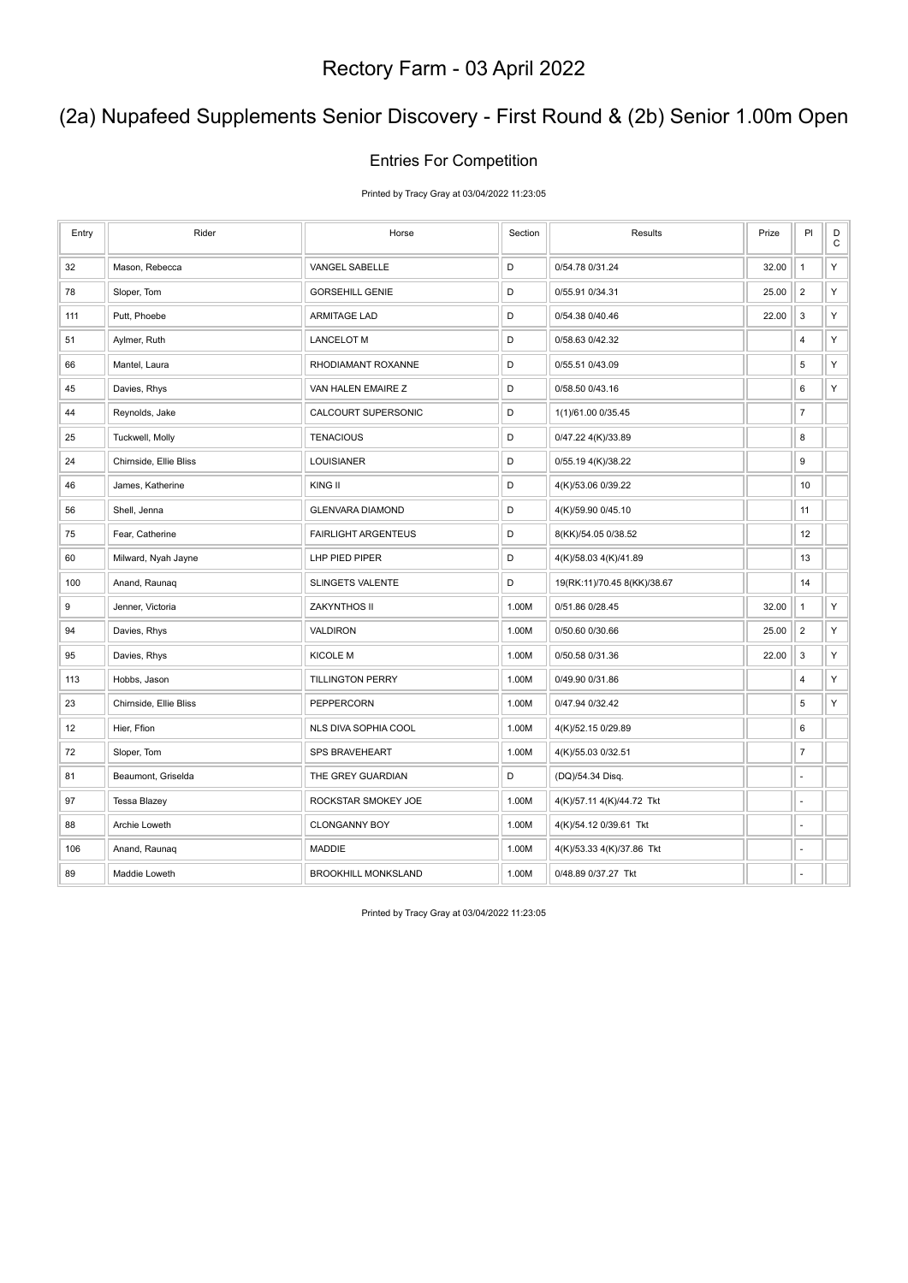## (2a) Nupafeed Supplements Senior Discovery - First Round & (2b) Senior 1.00m Open

#### Entries For Competition

Printed by Tracy Gray at 03/04/2022 11:23:05

| Entry            | Rider                  | Horse                      | Section | Results                     | Prize | PI             | $_{\rm C}^{\rm D}$ |
|------------------|------------------------|----------------------------|---------|-----------------------------|-------|----------------|--------------------|
| 32               | Mason, Rebecca         | VANGEL SABELLE             | D       | 0/54.78 0/31.24             | 32.00 | $\mathbf{1}$   | Υ                  |
| 78               | Sloper, Tom            | <b>GORSEHILL GENIE</b>     | D       | 0/55.91 0/34.31             | 25.00 | $\overline{2}$ | Υ                  |
| 111              | Putt, Phoebe           | <b>ARMITAGE LAD</b>        | D       | 0/54.38 0/40.46             | 22.00 | $\mathsf 3$    | Υ                  |
| 51               | Aylmer, Ruth           | <b>LANCELOT M</b>          | D       | 0/58.63 0/42.32             |       | 4              | Υ                  |
| 66               | Mantel, Laura          | RHODIAMANT ROXANNE         | D       | 0/55.51 0/43.09             |       | 5              | Υ                  |
| 45               | Davies, Rhys           | VAN HALEN EMAIRE Z         | D       | 0/58.50 0/43.16             |       | 6              | Υ                  |
| 44               | Reynolds, Jake         | CALCOURT SUPERSONIC        | D       | 1(1)/61.00 0/35.45          |       | $\overline{7}$ |                    |
| 25               | Tuckwell, Molly        | <b>TENACIOUS</b>           | D       | 0/47.22 4(K)/33.89          |       | 8              |                    |
| 24               | Chirnside, Ellie Bliss | LOUISIANER                 | D       | 0/55.19 4(K)/38.22          |       | 9              |                    |
| 46               | James, Katherine       | KING II                    | D       | 4(K)/53.06 0/39.22          |       | 10             |                    |
| 56               | Shell, Jenna           | <b>GLENVARA DIAMOND</b>    | D       | 4(K)/59.90 0/45.10          |       | 11             |                    |
| 75               | Fear, Catherine        | <b>FAIRLIGHT ARGENTEUS</b> | D       | 8(KK)/54.05 0/38.52         |       | 12             |                    |
| 60               | Milward, Nyah Jayne    | LHP PIED PIPER             | D       | 4(K)/58.03 4(K)/41.89       |       | 13             |                    |
| 100              | Anand, Raunaq          | <b>SLINGETS VALENTE</b>    | D       | 19(RK:11)/70.45 8(KK)/38.67 |       | 14             |                    |
| $\boldsymbol{9}$ | Jenner, Victoria       | ZAKYNTHOS II               | 1.00M   | 0/51.86 0/28.45             | 32.00 | $\mathbf{1}$   | Υ                  |
| 94               | Davies, Rhys           | VALDIRON                   | 1.00M   | 0/50.60 0/30.66             | 25.00 | $\overline{2}$ | Υ                  |
| 95               | Davies, Rhys           | <b>KICOLE M</b>            | 1.00M   | 0/50.58 0/31.36             | 22.00 | $\mathsf 3$    | Υ                  |
| 113              | Hobbs, Jason           | <b>TILLINGTON PERRY</b>    | 1.00M   | 0/49.90 0/31.86             |       | 4              | Υ                  |
| 23               | Chirnside, Ellie Bliss | PEPPERCORN                 | 1.00M   | 0/47.94 0/32.42             |       | 5              | Υ                  |
| 12               | Hier, Ffion            | NLS DIVA SOPHIA COOL       | 1.00M   | 4(K)/52.15 0/29.89          |       | 6              |                    |
| 72               | Sloper, Tom            | <b>SPS BRAVEHEART</b>      | 1.00M   | 4(K)/55.03 0/32.51          |       | $\overline{7}$ |                    |
| 81               | Beaumont, Griselda     | THE GREY GUARDIAN          | D       | (DQ)/54.34 Disq.            |       | ä,             |                    |
| 97               | <b>Tessa Blazey</b>    | ROCKSTAR SMOKEY JOE        | 1.00M   | 4(K)/57.11 4(K)/44.72 Tkt   |       | ä,             |                    |
| 88               | Archie Loweth          | <b>CLONGANNY BOY</b>       | 1.00M   | 4(K)/54.12 0/39.61 Tkt      |       | ä,             |                    |
| 106              | Anand, Raunaq          | <b>MADDIE</b>              | 1.00M   | 4(K)/53.33 4(K)/37.86 Tkt   |       |                |                    |
| 89               | Maddie Loweth          | <b>BROOKHILL MONKSLAND</b> | 1.00M   | 0/48.89 0/37.27 Tkt         |       | ä,             |                    |

Printed by Tracy Gray at 03/04/2022 11:23:05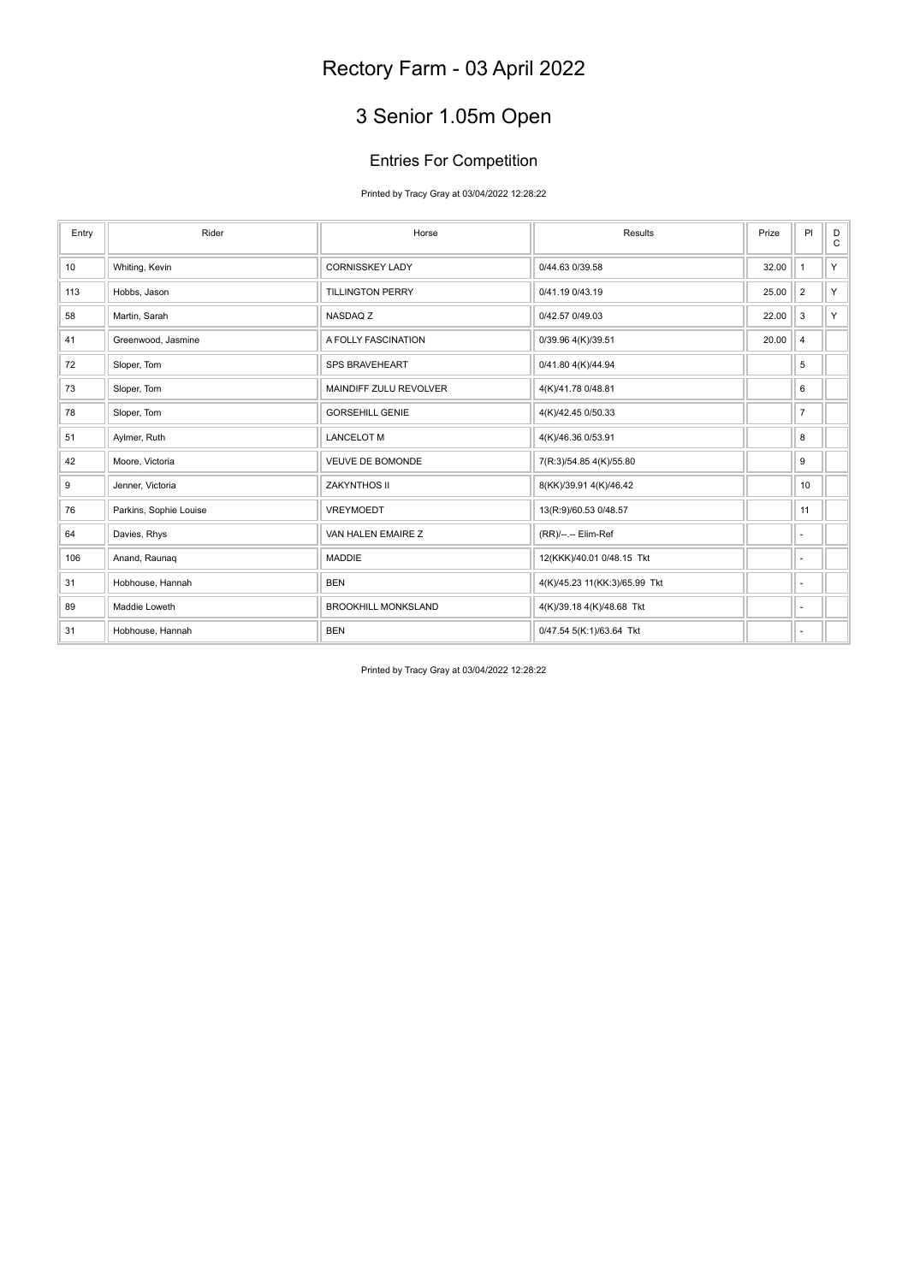# 3 Senior 1.05m Open

### Entries For Competition

Printed by Tracy Gray at 03/04/2022 12:28:22

| Entry | Rider                  | Horse                      | Results                       | Prize | PI                       | D<br>C |
|-------|------------------------|----------------------------|-------------------------------|-------|--------------------------|--------|
| 10    | Whiting, Kevin         | <b>CORNISSKEY LADY</b>     | 0/44.63 0/39.58               | 32.00 | $\mathbf{1}$             | Y      |
| 113   | Hobbs, Jason           | <b>TILLINGTON PERRY</b>    | 0/41.19 0/43.19               | 25.00 | $\overline{2}$           | Y.     |
| 58    | Martin, Sarah          | NASDAQ Z                   | 0/42.57 0/49.03               | 22.00 | 3                        | Y      |
| 41    | Greenwood, Jasmine     | A FOLLY FASCINATION        | 0/39.96 4(K)/39.51            | 20.00 | $\overline{4}$           |        |
| 72    | Sloper, Tom            | SPS BRAVEHEART             | 0/41.80 4(K)/44.94            |       | 5                        |        |
| 73    | Sloper, Tom            | MAINDIFF ZULU REVOLVER     | 4(K)/41.78 0/48.81            |       | 6                        |        |
| 78    | Sloper, Tom            | <b>GORSEHILL GENIE</b>     | 4(K)/42.45 0/50.33            |       | $\overline{7}$           |        |
| 51    | Aylmer, Ruth           | <b>LANCELOT M</b>          | 4(K)/46.36 0/53.91            |       | 8                        |        |
| 42    | Moore, Victoria        | VEUVE DE BOMONDE           | 7(R:3)/54.85 4(K)/55.80       |       | 9                        |        |
| 9     | Jenner, Victoria       | ZAKYNTHOS II               | 8(KK)/39.91 4(K)/46.42        |       | 10                       |        |
| 76    | Parkins, Sophie Louise | VREYMOEDT                  | 13(R:9)/60.53 0/48.57         |       | 11                       |        |
| 64    | Davies, Rhys           | VAN HALEN EMAIRE Z         | (RR)/--.-- Elim-Ref           |       | $\overline{\phantom{a}}$ |        |
| 106   | Anand, Raunaq          | <b>MADDIE</b>              | 12(KKK)/40.01 0/48.15 Tkt     |       | $\sim$                   |        |
| 31    | Hobhouse, Hannah       | <b>BEN</b>                 | 4(K)/45.23 11(KK:3)/65.99 Tkt |       | $\sim$                   |        |
| 89    | Maddie Loweth          | <b>BROOKHILL MONKSLAND</b> | 4(K)/39.18 4(K)/48.68 Tkt     |       | $\sim$                   |        |
| 31    | Hobhouse, Hannah       | <b>BEN</b>                 | 0/47.54 5(K:1)/63.64 Tkt      |       | ÷                        |        |

Printed by Tracy Gray at 03/04/2022 12:28:22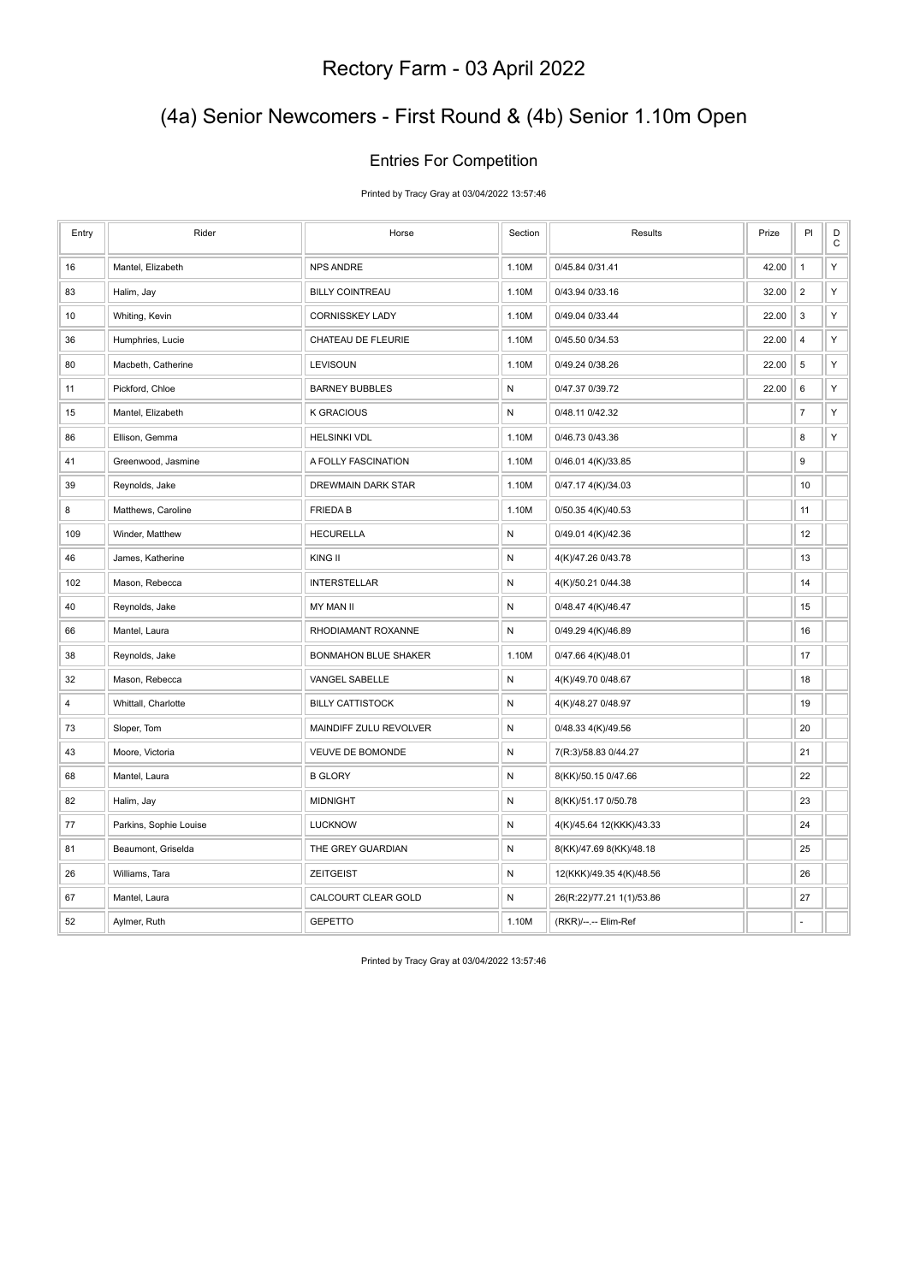## (4a) Senior Newcomers - First Round & (4b) Senior 1.10m Open

#### Entries For Competition

Printed by Tracy Gray at 03/04/2022 13:57:46

| Entry          | Rider                  | Horse                       | Section      | Results                   | Prize | PI                      | $\mathsf D$<br>$\mathbf C$ |
|----------------|------------------------|-----------------------------|--------------|---------------------------|-------|-------------------------|----------------------------|
| 16             | Mantel, Elizabeth      | <b>NPS ANDRE</b>            | 1.10M        | 0/45.84 0/31.41           | 42.00 | $\mathbf{1}$            | Υ                          |
| 83             | Halim, Jay             | <b>BILLY COINTREAU</b>      | 1.10M        | 0/43.94 0/33.16           | 32.00 | $\overline{2}$          | Y                          |
| 10             | Whiting, Kevin         | <b>CORNISSKEY LADY</b>      | 1.10M        | 0/49.04 0/33.44           | 22.00 | 3                       | Υ                          |
| 36             | Humphries, Lucie       | CHATEAU DE FLEURIE          | 1.10M        | 0/45.50 0/34.53           | 22.00 | $\overline{\mathbf{4}}$ | Υ                          |
| 80             | Macbeth, Catherine     | <b>LEVISOUN</b>             | 1.10M        | 0/49.24 0/38.26           | 22.00 | 5                       | Υ                          |
| 11             | Pickford, Chloe        | <b>BARNEY BUBBLES</b>       | $\mathsf{N}$ | 0/47.37 0/39.72           | 22.00 | 6                       | Υ                          |
| 15             | Mantel, Elizabeth      | <b>K GRACIOUS</b>           | ${\sf N}$    | 0/48.11 0/42.32           |       | $\boldsymbol{7}$        | Υ                          |
| 86             | Ellison, Gemma         | <b>HELSINKI VDL</b>         | 1.10M        | 0/46.73 0/43.36           |       | 8                       | Υ                          |
| 41             | Greenwood, Jasmine     | A FOLLY FASCINATION         | 1.10M        | 0/46.01 4(K)/33.85        |       | 9                       |                            |
| 39             | Reynolds, Jake         | DREWMAIN DARK STAR          | 1.10M        | 0/47.17 4(K)/34.03        |       | 10                      |                            |
| 8              | Matthews, Caroline     | <b>FRIEDAB</b>              | 1.10M        | 0/50.35 4(K)/40.53        |       | 11                      |                            |
| 109            | Winder, Matthew        | <b>HECURELLA</b>            | $\mathsf{N}$ | 0/49.01 4(K)/42.36        |       | 12                      |                            |
| 46             | James, Katherine       | KING II                     | ${\sf N}$    | 4(K)/47.26 0/43.78        |       | 13                      |                            |
| 102            | Mason, Rebecca         | <b>INTERSTELLAR</b>         | ${\sf N}$    | 4(K)/50.21 0/44.38        |       | 14                      |                            |
| 40             | Reynolds, Jake         | MY MAN II                   | ${\sf N}$    | 0/48.47 4(K)/46.47        |       | 15                      |                            |
| 66             | Mantel, Laura          | RHODIAMANT ROXANNE          | ${\sf N}$    | 0/49.29 4(K)/46.89        |       | 16                      |                            |
| 38             | Reynolds, Jake         | <b>BONMAHON BLUE SHAKER</b> | 1.10M        | 0/47.66 4(K)/48.01        |       | 17                      |                            |
| 32             | Mason, Rebecca         | VANGEL SABELLE              | ${\sf N}$    | 4(K)/49.70 0/48.67        |       | 18                      |                            |
| $\overline{4}$ | Whittall, Charlotte    | <b>BILLY CATTISTOCK</b>     | N            | 4(K)/48.27 0/48.97        |       | 19                      |                            |
| 73             | Sloper, Tom            | MAINDIFF ZULU REVOLVER      | N            | 0/48.33 4(K)/49.56        |       | 20                      |                            |
| 43             | Moore, Victoria        | <b>VEUVE DE BOMONDE</b>     | ${\sf N}$    | 7(R:3)/58.83 0/44.27      |       | 21                      |                            |
| 68             | Mantel, Laura          | <b>B GLORY</b>              | ${\sf N}$    | 8(KK)/50.15 0/47.66       |       | 22                      |                            |
| 82             | Halim, Jay             | <b>MIDNIGHT</b>             | $\mathsf{N}$ | 8(KK)/51.17 0/50.78       |       | 23                      |                            |
| 77             | Parkins, Sophie Louise | <b>LUCKNOW</b>              | ${\sf N}$    | 4(K)/45.64 12(KKK)/43.33  |       | 24                      |                            |
| 81             | Beaumont, Griselda     | THE GREY GUARDIAN           | ${\sf N}$    | 8(KK)/47.69 8(KK)/48.18   |       | 25                      |                            |
| 26             | Williams, Tara         | <b>ZEITGEIST</b>            | ${\sf N}$    | 12(KKK)/49.35 4(K)/48.56  |       | 26                      |                            |
| 67             | Mantel, Laura          | CALCOURT CLEAR GOLD         | N            | 26(R:22)/77.21 1(1)/53.86 |       | 27                      |                            |
| 52             | Aylmer, Ruth           | <b>GEPETTO</b>              | 1.10M        | (RKR)/--.-- Elim-Ref      |       | $\overline{a}$          |                            |

Printed by Tracy Gray at 03/04/2022 13:57:46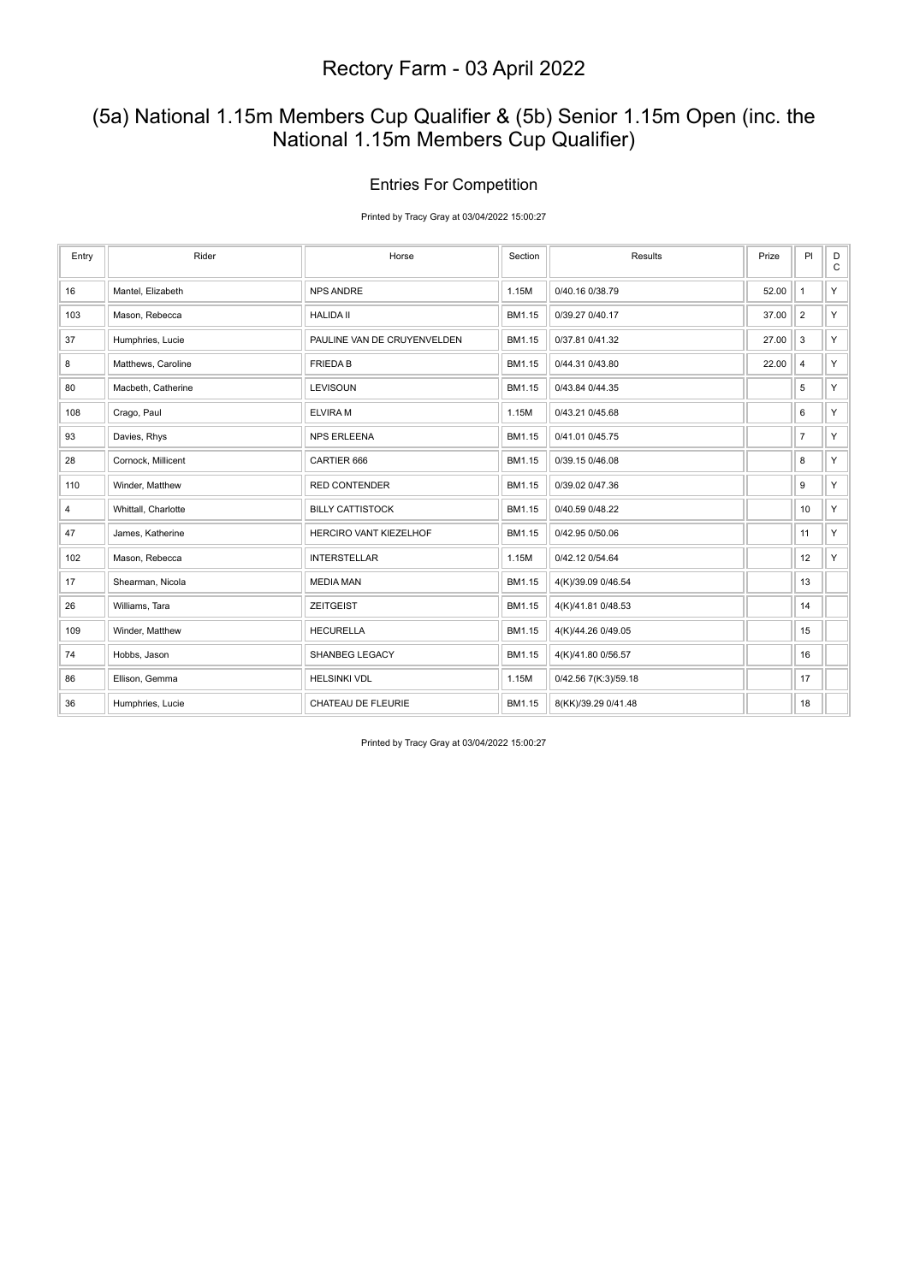### (5a) National 1.15m Members Cup Qualifier & (5b) Senior 1.15m Open (inc. the National 1.15m Members Cup Qualifier)

#### Entries For Competition

Printed by Tracy Gray at 03/04/2022 15:00:27

| Entry | Rider               | Horse                       | Section | Results              | Prize | PI                      | $_\mathrm{C}^\mathrm{D}$ |
|-------|---------------------|-----------------------------|---------|----------------------|-------|-------------------------|--------------------------|
| 16    | Mantel, Elizabeth   | <b>NPS ANDRE</b>            | 1.15M   | 0/40.16 0/38.79      | 52.00 | $\mathbf{1}$            | Y.                       |
| 103   | Mason, Rebecca      | <b>HALIDA II</b>            | BM1.15  | 0/39.27 0/40.17      | 37.00 | $\overline{2}$          | $Y \mid$                 |
| 37    | Humphries, Lucie    | PAULINE VAN DE CRUYENVELDEN | BM1.15  | 0/37.81 0/41.32      | 27.00 | 3                       | Y.                       |
| 8     | Matthews, Caroline  | <b>FRIEDAB</b>              | BM1.15  | 0/44.31 0/43.80      | 22.00 | $\overline{\mathbf{4}}$ | Y.                       |
| 80    | Macbeth, Catherine  | LEVISOUN                    | BM1.15  | 0/43.84 0/44.35      |       | 5                       | Y.                       |
| 108   | Crago, Paul         | <b>ELVIRAM</b>              | 1.15M   | 0/43.21 0/45.68      |       | 6                       | Y.                       |
| 93    | Davies, Rhys        | <b>NPS ERLEENA</b>          | BM1.15  | 0/41.01 0/45.75      |       | $\overline{7}$          | Y.                       |
| 28    | Cornock, Millicent  | CARTIER 666                 | BM1.15  | 0/39.15 0/46.08      |       | 8                       | Y.                       |
| 110   | Winder, Matthew     | <b>RED CONTENDER</b>        | BM1.15  | 0/39.02 0/47.36      |       | 9                       | Y.                       |
| 4     | Whittall, Charlotte | <b>BILLY CATTISTOCK</b>     | BM1.15  | 0/40.59 0/48.22      |       | 10                      | Y.                       |
| 47    | James, Katherine    | HERCIRO VANT KIEZELHOF      | BM1.15  | 0/42.95 0/50.06      |       | 11                      | Y                        |
| 102   | Mason, Rebecca      | <b>INTERSTELLAR</b>         | 1.15M   | 0/42.12 0/54.64      |       | 12                      | Y                        |
| 17    | Shearman, Nicola    | <b>MEDIA MAN</b>            | BM1.15  | 4(K)/39.09 0/46.54   |       | 13                      |                          |
| 26    | Williams, Tara      | <b>ZEITGEIST</b>            | BM1.15  | 4(K)/41.81 0/48.53   |       | 14                      |                          |
| 109   | Winder, Matthew     | <b>HECURELLA</b>            | BM1.15  | 4(K)/44.26 0/49.05   |       | 15                      |                          |
| 74    | Hobbs, Jason        | SHANBEG LEGACY              | BM1.15  | 4(K)/41.80 0/56.57   |       | 16                      |                          |
| 86    | Ellison, Gemma      | <b>HELSINKI VDL</b>         | 1.15M   | 0/42.56 7(K:3)/59.18 |       | 17                      |                          |
| 36    | Humphries, Lucie    | CHATEAU DE FLEURIE          | BM1.15  | 8(KK)/39.29 0/41.48  |       | 18                      |                          |

Printed by Tracy Gray at 03/04/2022 15:00:27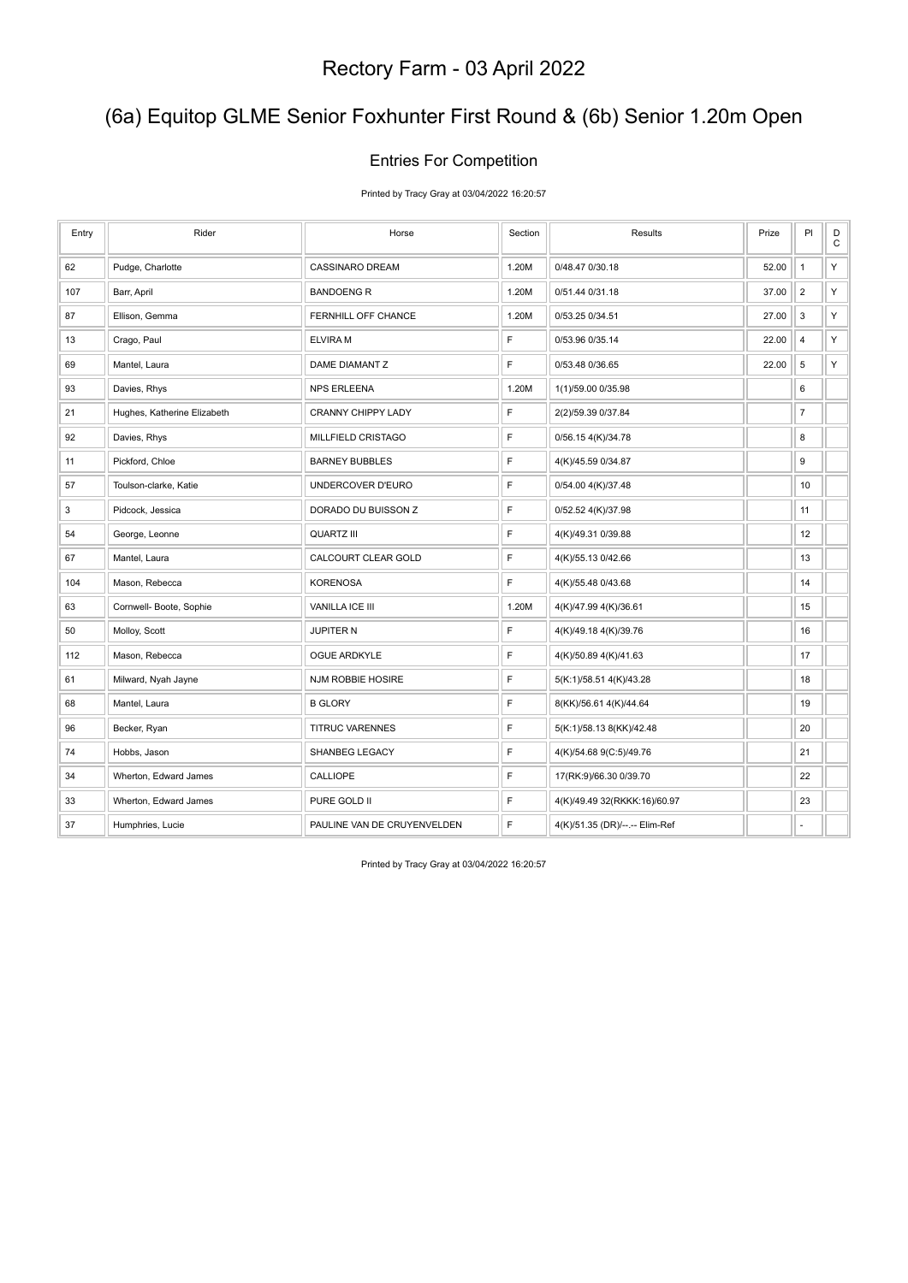## (6a) Equitop GLME Senior Foxhunter First Round & (6b) Senior 1.20m Open

#### Entries For Competition

Printed by Tracy Gray at 03/04/2022 16:20:57

| Entry | Rider                       | Horse                       | Section | Results                        | Prize | PI                      | $_\mathrm{C}^\mathrm{D}$ |
|-------|-----------------------------|-----------------------------|---------|--------------------------------|-------|-------------------------|--------------------------|
| 62    | Pudge, Charlotte            | <b>CASSINARO DREAM</b>      | 1.20M   | 0/48.47 0/30.18                | 52.00 | $\mathbf{1}$            | Υ                        |
| 107   | Barr, April                 | <b>BANDOENG R</b>           | 1.20M   | 0/51.44 0/31.18                | 37.00 | $\overline{2}$          | Υ                        |
| 87    | Ellison, Gemma              | FERNHILL OFF CHANCE         | 1.20M   | 0/53.25 0/34.51                | 27.00 | 3                       | Υ                        |
| 13    | Crago, Paul                 | <b>ELVIRA M</b>             | F       | 0/53.96 0/35.14                | 22.00 | $\overline{\mathbf{4}}$ | Y                        |
| 69    | Mantel, Laura               | DAME DIAMANT Z              | F       | 0/53.48 0/36.65                | 22.00 | 5                       | Υ                        |
| 93    | Davies, Rhys                | <b>NPS ERLEENA</b>          | 1.20M   | 1(1)/59.00 0/35.98             |       | 6                       |                          |
| 21    | Hughes, Katherine Elizabeth | <b>CRANNY CHIPPY LADY</b>   | F       | 2(2)/59.39 0/37.84             |       | $\overline{7}$          |                          |
| 92    | Davies, Rhys                | MILLFIELD CRISTAGO          | F       | 0/56.15 4(K)/34.78             |       | 8                       |                          |
| 11    | Pickford, Chloe             | <b>BARNEY BUBBLES</b>       | F       | 4(K)/45.59 0/34.87             |       | 9                       |                          |
| 57    | Toulson-clarke, Katie       | UNDERCOVER D'EURO           | F       | 0/54.00 4(K)/37.48             |       | 10                      |                          |
| 3     | Pidcock, Jessica            | DORADO DU BUISSON Z         | F       | 0/52.52 4(K)/37.98             |       | 11                      |                          |
| 54    | George, Leonne              | <b>QUARTZ III</b>           | F       | 4(K)/49.31 0/39.88             |       | 12                      |                          |
| 67    | Mantel, Laura               | CALCOURT CLEAR GOLD         | F       | 4(K)/55.13 0/42.66             |       | 13                      |                          |
| 104   | Mason, Rebecca              | <b>KORENOSA</b>             | E       | 4(K)/55.48 0/43.68             |       | 14                      |                          |
| 63    | Cornwell- Boote, Sophie     | VANILLA ICE III             | 1.20M   | 4(K)/47.99 4(K)/36.61          |       | 15                      |                          |
| 50    | Molloy, Scott               | <b>JUPITER N</b>            | F       | 4(K)/49.18 4(K)/39.76          |       | 16                      |                          |
| 112   | Mason, Rebecca              | <b>OGUE ARDKYLE</b>         | F       | 4(K)/50.89 4(K)/41.63          |       | 17                      |                          |
| 61    | Milward, Nyah Jayne         | NJM ROBBIE HOSIRE           | F       | 5(K:1)/58.51 4(K)/43.28        |       | 18                      |                          |
| 68    | Mantel, Laura               | <b>B GLORY</b>              | F       | 8(KK)/56.61 4(K)/44.64         |       | 19                      |                          |
| 96    | Becker, Ryan                | <b>TITRUC VARENNES</b>      | F       | 5(K:1)/58.13 8(KK)/42.48       |       | 20                      |                          |
| 74    | Hobbs, Jason                | SHANBEG LEGACY              | F       | 4(K)/54.68 9(C:5)/49.76        |       | 21                      |                          |
| 34    | Wherton, Edward James       | CALLIOPE                    | F       | 17(RK:9)/66.30 0/39.70         |       | 22                      |                          |
| 33    | Wherton, Edward James       | PURE GOLD II                | F       | 4(K)/49.49 32(RKKK:16)/60.97   |       | 23                      |                          |
| 37    | Humphries, Lucie            | PAULINE VAN DE CRUYENVELDEN | F       | 4(K)/51.35 (DR)/--.-- Elim-Ref |       | ÷                       |                          |

Printed by Tracy Gray at 03/04/2022 16:20:57